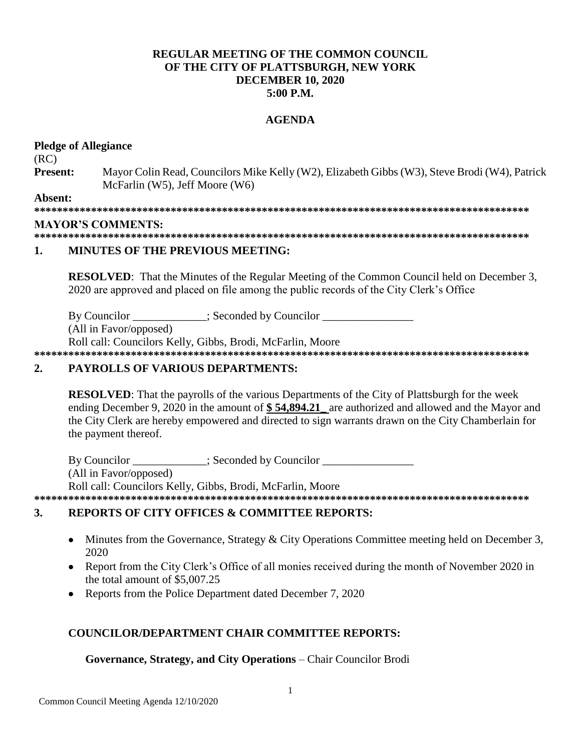# **REGULAR MEETING OF THE COMMON COUNCIL.** OF THE CITY OF PLATTSBURGH, NEW YORK **DECEMBER 10, 2020**  $5:00$  P.M.

### **AGENDA**

### **Pledge of Allegiance**

 $(RC)$ 

**Present:** Mayor Colin Read, Councilors Mike Kelly (W2), Elizabeth Gibbs (W3), Steve Brodi (W4), Patrick McFarlin (W5), Jeff Moore (W6)

Absent:

### **MAYOR'S COMMENTS:**

#### 1. **MINUTES OF THE PREVIOUS MEETING:**

**RESOLVED:** That the Minutes of the Regular Meeting of the Common Council held on December 3, 2020 are approved and placed on file among the public records of the City Clerk's Office

By Councilor : Seconded by Councilor

(All in Favor/opposed)

Roll call: Councilors Kelly, Gibbs, Brodi, McFarlin, Moore 

#### $2.$ **PAYROLLS OF VARIOUS DEPARTMENTS:**

**RESOLVED:** That the payrolls of the various Departments of the City of Plattsburgh for the week ending December 9, 2020 in the amount of \$54,894.21 are authorized and allowed and the Mayor and the City Clerk are hereby empowered and directed to sign warrants drawn on the City Chamberlain for the payment thereof.

By Councilor : Seconded by Councilor (All in Favor/opposed) Roll call: Councilors Kelly, Gibbs, Brodi, McFarlin, Moore 

#### $3.$ **REPORTS OF CITY OFFICES & COMMITTEE REPORTS:**

- Minutes from the Governance, Strategy & City Operations Committee meeting held on December 3,  $\bullet$ 2020
- Report from the City Clerk's Office of all monies received during the month of November 2020 in the total amount of \$5,007.25
- Reports from the Police Department dated December 7, 2020

# **COUNCILOR/DEPARTMENT CHAIR COMMITTEE REPORTS:**

# Governance, Strategy, and City Operations – Chair Councilor Brodi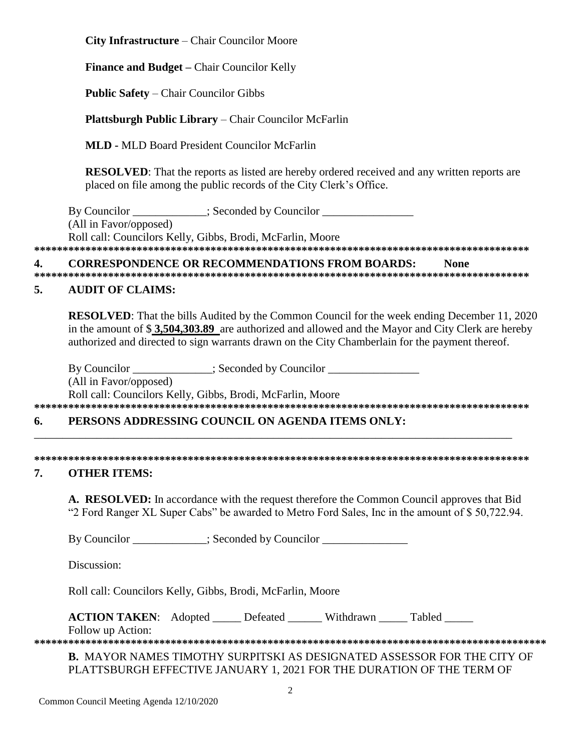**City Infrastructure** – Chair Councilor Moore

**Finance and Budget –** Chair Councilor Kelly

**Public Safety** – Chair Councilor Gibbs

**Plattsburgh Public Library** – Chair Councilor McFarlin

**MLD -** MLD Board President Councilor McFarlin

**RESOLVED**: That the reports as listed are hereby ordered received and any written reports are placed on file among the public records of the City Clerk's Office.

By Councilor  $\qquad \qquad :$  Seconded by Councilor (All in Favor/opposed) Roll call: Councilors Kelly, Gibbs, Brodi, McFarlin, Moore **\*\*\*\*\*\*\*\*\*\*\*\*\*\*\*\*\*\*\*\*\*\*\*\*\*\*\*\*\*\*\*\*\*\*\*\*\*\*\*\*\*\*\*\*\*\*\*\*\*\*\*\*\*\*\*\*\*\*\*\*\*\*\*\*\*\*\*\*\*\*\*\*\*\*\*\*\*\*\*\*\*\*\*\*\*\*\***

**4. CORRESPONDENCE OR RECOMMENDATIONS FROM BOARDS: None**

**\*\*\*\*\*\*\*\*\*\*\*\*\*\*\*\*\*\*\*\*\*\*\*\*\*\*\*\*\*\*\*\*\*\*\*\*\*\*\*\*\*\*\*\*\*\*\*\*\*\*\*\*\*\*\*\*\*\*\*\*\*\*\*\*\*\*\*\*\*\*\*\*\*\*\*\*\*\*\*\*\*\*\*\*\*\*\***

# **5. AUDIT OF CLAIMS:**

**RESOLVED**: That the bills Audited by the Common Council for the week ending December 11, 2020 in the amount of \$ **3,504,303.89** are authorized and allowed and the Mayor and City Clerk are hereby authorized and directed to sign warrants drawn on the City Chamberlain for the payment thereof.

By Councilor \_\_\_\_\_\_\_\_\_\_\_; Seconded by Councilor \_\_\_\_\_\_\_\_\_\_\_\_\_\_\_\_\_\_\_\_\_\_\_\_\_\_\_\_\_\_\_\_ (All in Favor/opposed) Roll call: Councilors Kelly, Gibbs, Brodi, McFarlin, Moore

# **\*\*\*\*\*\*\*\*\*\*\*\*\*\*\*\*\*\*\*\*\*\*\*\*\*\*\*\*\*\*\*\*\*\*\*\*\*\*\*\*\*\*\*\*\*\*\*\*\*\*\*\*\*\*\*\*\*\*\*\*\*\*\*\*\*\*\*\*\*\*\*\*\*\*\*\*\*\*\*\*\*\*\*\*\*\*\***

# **6. PERSONS ADDRESSING COUNCIL ON AGENDA ITEMS ONLY:**  \_\_\_\_\_\_\_\_\_\_\_\_\_\_\_\_\_\_\_\_\_\_\_\_\_\_\_\_\_\_\_\_\_\_\_\_\_\_\_\_\_\_\_\_\_\_\_\_\_\_\_\_\_\_\_\_\_\_\_\_\_\_\_\_\_\_\_\_\_\_\_\_\_\_\_\_\_\_\_\_\_\_\_\_

**\*\*\*\*\*\*\*\*\*\*\*\*\*\*\*\*\*\*\*\*\*\*\*\*\*\*\*\*\*\*\*\*\*\*\*\*\*\*\*\*\*\*\*\*\*\*\*\*\*\*\*\*\*\*\*\*\*\*\*\*\*\*\*\*\*\*\*\*\*\*\*\*\*\*\*\*\*\*\*\*\*\*\*\*\*\*\*** 

### **7. OTHER ITEMS:**

**A. RESOLVED:** In accordance with the request therefore the Common Council approves that Bid "2 Ford Ranger XL Super Cabs" be awarded to Metro Ford Sales, Inc in the amount of \$ 50,722.94.

By Councilor \_\_\_\_\_\_\_\_\_\_\_; Seconded by Councilor \_\_\_\_\_\_\_\_\_\_\_\_\_\_\_\_\_\_\_\_\_\_\_\_\_\_\_\_\_\_\_\_

Discussion:

Roll call: Councilors Kelly, Gibbs, Brodi, McFarlin, Moore

**ACTION TAKEN:** Adopted Defeated Withdrawn Tabled

Follow up Action:

**\*\*\*\*\*\*\*\*\*\*\*\*\*\*\*\*\*\*\*\*\*\*\*\*\*\*\*\*\*\*\*\*\*\*\*\*\*\*\*\*\*\*\*\*\*\*\*\*\*\*\*\*\*\*\*\*\*\*\*\*\*\*\*\*\*\*\*\*\*\*\*\*\*\*\*\*\*\*\*\*\*\*\*\*\*\*\*\*\*\* B.** MAYOR NAMES TIMOTHY SURPITSKI AS DESIGNATED ASSESSOR FOR THE CITY OF

PLATTSBURGH EFFECTIVE JANUARY 1, 2021 FOR THE DURATION OF THE TERM OF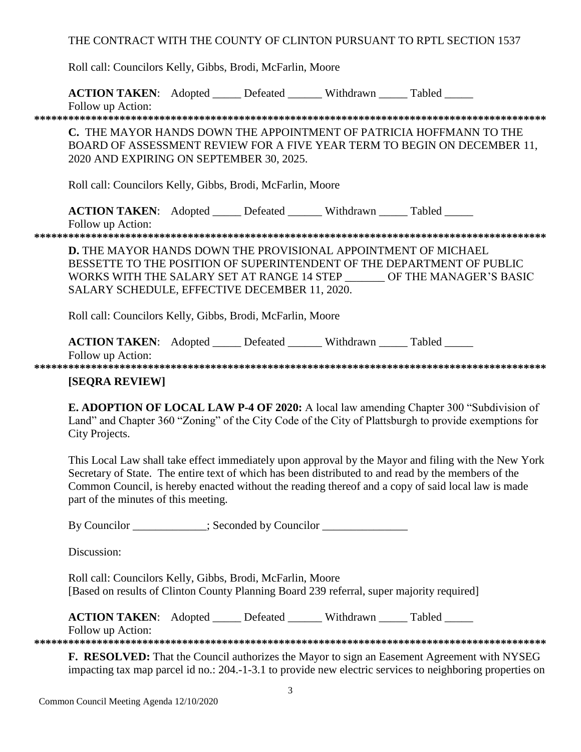THE CONTRACT WITH THE COUNTY OF CLINTON PURSUANT TO RPTL SECTION 1537

Roll call: Councilors Kelly, Gibbs, Brodi, McFarlin, Moore

**ACTION TAKEN:** Adopted \_\_\_\_\_ Defeated \_\_\_\_\_\_ Withdrawn \_\_\_\_\_ Tabled \_\_\_\_\_

Follow up Action:

**\*\*\*\*\*\*\*\*\*\*\*\*\*\*\*\*\*\*\*\*\*\*\*\*\*\*\*\*\*\*\*\*\*\*\*\*\*\*\*\*\*\*\*\*\*\*\*\*\*\*\*\*\*\*\*\*\*\*\*\*\*\*\*\*\*\*\*\*\*\*\*\*\*\*\*\*\*\*\*\*\*\*\*\*\*\*\*\*\*\***

**C.** THE MAYOR HANDS DOWN THE APPOINTMENT OF PATRICIA HOFFMANN TO THE BOARD OF ASSESSMENT REVIEW FOR A FIVE YEAR TERM TO BEGIN ON DECEMBER 11, 2020 AND EXPIRING ON SEPTEMBER 30, 2025.

Roll call: Councilors Kelly, Gibbs, Brodi, McFarlin, Moore

**ACTION TAKEN:** Adopted Defeated Withdrawn Tabled Follow up Action:

**\*\*\*\*\*\*\*\*\*\*\*\*\*\*\*\*\*\*\*\*\*\*\*\*\*\*\*\*\*\*\*\*\*\*\*\*\*\*\*\*\*\*\*\*\*\*\*\*\*\*\*\*\*\*\*\*\*\*\*\*\*\*\*\*\*\*\*\*\*\*\*\*\*\*\*\*\*\*\*\*\*\*\*\*\*\*\*\*\*\***

**D.** THE MAYOR HANDS DOWN THE PROVISIONAL APPOINTMENT OF MICHAEL BESSETTE TO THE POSITION OF SUPERINTENDENT OF THE DEPARTMENT OF PUBLIC WORKS WITH THE SALARY SET AT RANGE 14 STEP \_\_\_\_\_\_\_ OF THE MANAGER'S BASIC SALARY SCHEDULE, EFFECTIVE DECEMBER 11, 2020.

Roll call: Councilors Kelly, Gibbs, Brodi, McFarlin, Moore

**ACTION TAKEN:** Adopted Defeated Withdrawn Tabled

Follow up Action: **\*\*\*\*\*\*\*\*\*\*\*\*\*\*\*\*\*\*\*\*\*\*\*\*\*\*\*\*\*\*\*\*\*\*\*\*\*\*\*\*\*\*\*\*\*\*\*\*\*\*\*\*\*\*\*\*\*\*\*\*\*\*\*\*\*\*\*\*\*\*\*\*\*\*\*\*\*\*\*\*\*\*\*\*\*\*\*\*\*\***

# **[SEQRA REVIEW]**

**E. ADOPTION OF LOCAL LAW P-4 OF 2020:** A local law amending Chapter 300 "Subdivision of Land" and Chapter 360 "Zoning" of the City Code of the City of Plattsburgh to provide exemptions for City Projects.

This Local Law shall take effect immediately upon approval by the Mayor and filing with the New York Secretary of State. The entire text of which has been distributed to and read by the members of the Common Council, is hereby enacted without the reading thereof and a copy of said local law is made part of the minutes of this meeting.

By Councilor \_\_\_\_\_\_\_\_\_\_; Seconded by Councilor \_\_\_\_\_\_\_\_\_\_\_\_\_\_\_\_\_\_\_\_\_\_\_\_\_\_\_\_\_\_\_\_\_

Discussion:

Roll call: Councilors Kelly, Gibbs, Brodi, McFarlin, Moore [Based on results of Clinton County Planning Board 239 referral, super majority required]

**ACTION TAKEN:** Adopted Defeated Withdrawn Tabled

Follow up Action:

**\*\*\*\*\*\*\*\*\*\*\*\*\*\*\*\*\*\*\*\*\*\*\*\*\*\*\*\*\*\*\*\*\*\*\*\*\*\*\*\*\*\*\*\*\*\*\*\*\*\*\*\*\*\*\*\*\*\*\*\*\*\*\*\*\*\*\*\*\*\*\*\*\*\*\*\*\*\*\*\*\*\*\*\*\*\*\*\*\*\***

**F. RESOLVED:** That the Council authorizes the Mayor to sign an Easement Agreement with NYSEG impacting tax map parcel id no.: 204.-1-3.1 to provide new electric services to neighboring properties on